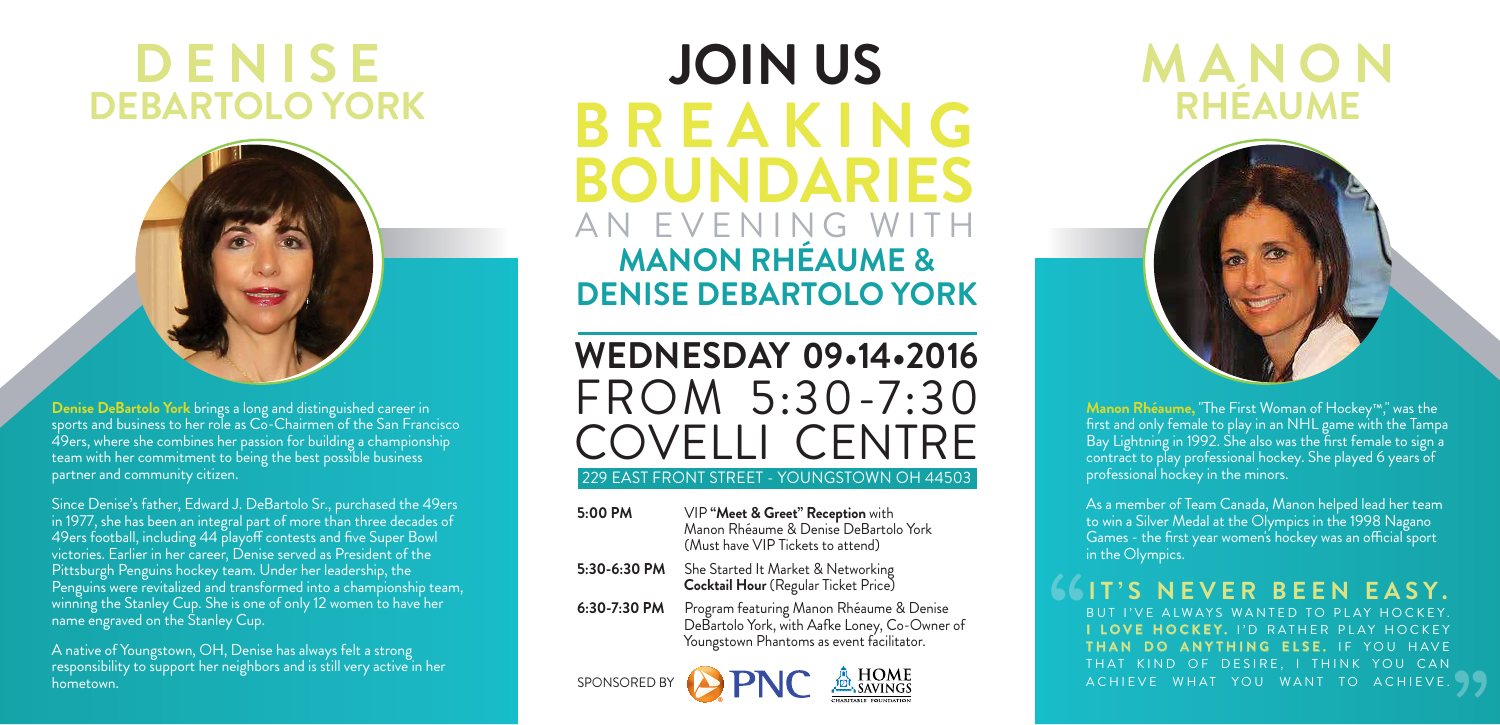## **DENISE DEBARTOLO YORK**



**Denise DeBartolo York** brings a long and distinguished career in sports and business to her role as Co-Chairmen of the San Francisco 49ers, where she combines her passion for building a championship team with her commitment to being the best possible business partner and community citizen.

Since Denise's father, Edward J. DeBartolo Sr., purchased the 49ers in 1977, she has been an integral part of more than three decades of 49ers football, including 44 playoff contests and five Super Bowl victories. Earlier in her career, Denise served as President of the Pittsburgh Penguins hockey team. Under her leadership, the Penguins were revitalized and transformed into a championship team, winning the Stanley Cup. She is one of only 12 women to have her name engraved on the Stanley Cup.

A native of Youngstown, OH, Denise has always felt a strong responsibility to support her neighbors and is still very active in her hometown.

## AN EVENING WITH **BREAKING BOUNDARIES MANON RHÉAUME & DENISE DEBARTOLO YORK JOIN US**

**WEDNESDAY 09•14•2016** FROM 5:30-7:30 COVELLI CENTRE

## 229 EAST FRONT STREET - YOUNGSTOWN OH 44503

- **5:00 PM** VIP **"Meet & Greet" Reception** with Manon Rhéaume & Denise DeBartolo York (Must have VIP Tickets to attend)
- **5:30-6:30 PM** She Started It Market & Networking **Cocktail Hour** (Regular Ticket Price)
- **6:30-7:30 PM** Program featuring Manon Rhéaume & Denise DeBartolo York, with Aafke Loney, Co-Owner of Youngstown Phantoms as event facilitator.





## **MANON RHÉAUME**



**Manon Rhéaume,** "The First Woman of Hockey™," was the first and only female to play in an NHL game with the Tampa Bay Lightning in 1992. She also was the first female to sign a contract to play professional hockey. She played 6 years of professional hockey in the minors.

As a member of Team Canada, Manon helped lead her team to win a Silver Medal at the Olympics in the 1998 Nagano Games - the first year women's hockey was an official sport in the Olympics.

**IT'S NEVER BEEN EASY.** BUT I'VE ALWAYS WANTED TO PLAY HOCKEY. **I LOVE HOCKEY.** I'D RATHER PLAY HOCKEY **THAN DO ANYTHING ELSE.** IF YOU HAVE THAT KIND OF DESIRE, I THINK YOU CAN ACHIEVE WHAT YOU WANT TO ACHIEVE.

**"**